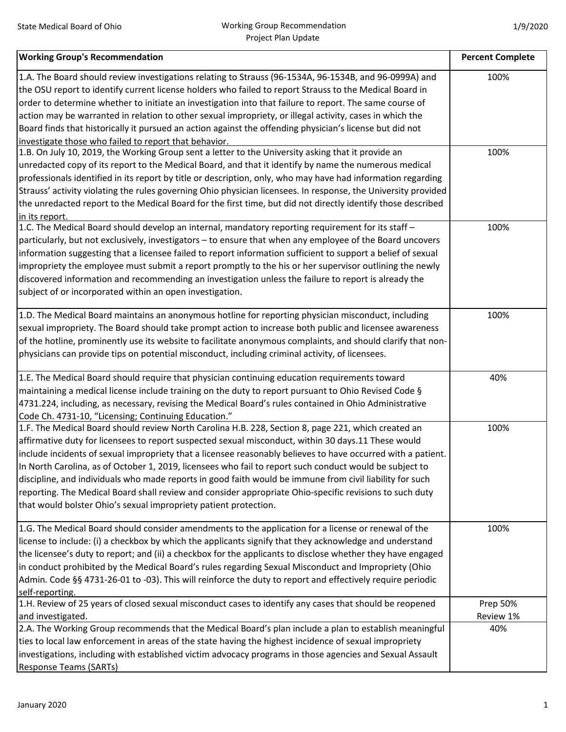| <b>Working Group's Recommendation</b>                                                                                                                                                                         | <b>Percent Complete</b> |
|---------------------------------------------------------------------------------------------------------------------------------------------------------------------------------------------------------------|-------------------------|
| 1.A. The Board should review investigations relating to Strauss (96-1534A, 96-1534B, and 96-0999A) and                                                                                                        | 100%                    |
| the OSU report to identify current license holders who failed to report Strauss to the Medical Board in                                                                                                       |                         |
| order to determine whether to initiate an investigation into that failure to report. The same course of                                                                                                       |                         |
| action may be warranted in relation to other sexual impropriety, or illegal activity, cases in which the                                                                                                      |                         |
| Board finds that historically it pursued an action against the offending physician's license but did not                                                                                                      |                         |
| investigate those who failed to report that behavior.                                                                                                                                                         |                         |
| 1.B. On July 10, 2019, the Working Group sent a letter to the University asking that it provide an                                                                                                            | 100%                    |
| unredacted copy of its report to the Medical Board, and that it identify by name the numerous medical                                                                                                         |                         |
| professionals identified in its report by title or description, only, who may have had information regarding                                                                                                  |                         |
| Strauss' activity violating the rules governing Ohio physician licensees. In response, the University provided                                                                                                |                         |
| the unredacted report to the Medical Board for the first time, but did not directly identify those described                                                                                                  |                         |
| in its report.                                                                                                                                                                                                |                         |
| 1.C. The Medical Board should develop an internal, mandatory reporting requirement for its staff -                                                                                                            | 100%                    |
| particularly, but not exclusively, investigators - to ensure that when any employee of the Board uncovers                                                                                                     |                         |
| information suggesting that a licensee failed to report information sufficient to support a belief of sexual                                                                                                  |                         |
| impropriety the employee must submit a report promptly to the his or her supervisor outlining the newly                                                                                                       |                         |
| discovered information and recommending an investigation unless the failure to report is already the                                                                                                          |                         |
| subject of or incorporated within an open investigation.                                                                                                                                                      |                         |
|                                                                                                                                                                                                               | 100%                    |
| 1.D. The Medical Board maintains an anonymous hotline for reporting physician misconduct, including<br>sexual impropriety. The Board should take prompt action to increase both public and licensee awareness |                         |
|                                                                                                                                                                                                               |                         |
| of the hotline, prominently use its website to facilitate anonymous complaints, and should clarify that non-                                                                                                  |                         |
| physicians can provide tips on potential misconduct, including criminal activity, of licensees.                                                                                                               |                         |
| 1.E. The Medical Board should require that physician continuing education requirements toward                                                                                                                 | 40%                     |
| maintaining a medical license include training on the duty to report pursuant to Ohio Revised Code §                                                                                                          |                         |
| 4731.224, including, as necessary, revising the Medical Board's rules contained in Ohio Administrative                                                                                                        |                         |
| Code Ch. 4731-10, "Licensing; Continuing Education."                                                                                                                                                          |                         |
| 1.F. The Medical Board should review North Carolina H.B. 228, Section 8, page 221, which created an                                                                                                           | 100%                    |
| affirmative duty for licensees to report suspected sexual misconduct, within 30 days.11 These would                                                                                                           |                         |
| include incidents of sexual impropriety that a licensee reasonably believes to have occurred with a patient.                                                                                                  |                         |
| In North Carolina, as of October 1, 2019, licensees who fail to report such conduct would be subject to                                                                                                       |                         |
| discipline, and individuals who made reports in good faith would be immune from civil liability for such                                                                                                      |                         |
| reporting. The Medical Board shall review and consider appropriate Ohio-specific revisions to such duty                                                                                                       |                         |
| that would bolster Ohio's sexual impropriety patient protection.                                                                                                                                              |                         |
|                                                                                                                                                                                                               |                         |
| 1.G. The Medical Board should consider amendments to the application for a license or renewal of the                                                                                                          | 100%                    |
| license to include: (i) a checkbox by which the applicants signify that they acknowledge and understand                                                                                                       |                         |
| the licensee's duty to report; and (ii) a checkbox for the applicants to disclose whether they have engaged                                                                                                   |                         |
| in conduct prohibited by the Medical Board's rules regarding Sexual Misconduct and Impropriety (Ohio                                                                                                          |                         |
| Admin. Code §§ 4731-26-01 to -03). This will reinforce the duty to report and effectively require periodic                                                                                                    |                         |
| self-reporting.<br>1.H. Review of 25 years of closed sexual misconduct cases to identify any cases that should be reopened                                                                                    | Prep 50%                |
| and investigated.                                                                                                                                                                                             | Review 1%               |
| 2.A. The Working Group recommends that the Medical Board's plan include a plan to establish meaningful                                                                                                        | 40%                     |
| ties to local law enforcement in areas of the state having the highest incidence of sexual impropriety                                                                                                        |                         |
| investigations, including with established victim advocacy programs in those agencies and Sexual Assault                                                                                                      |                         |
| <b>Response Teams (SARTs)</b>                                                                                                                                                                                 |                         |
|                                                                                                                                                                                                               |                         |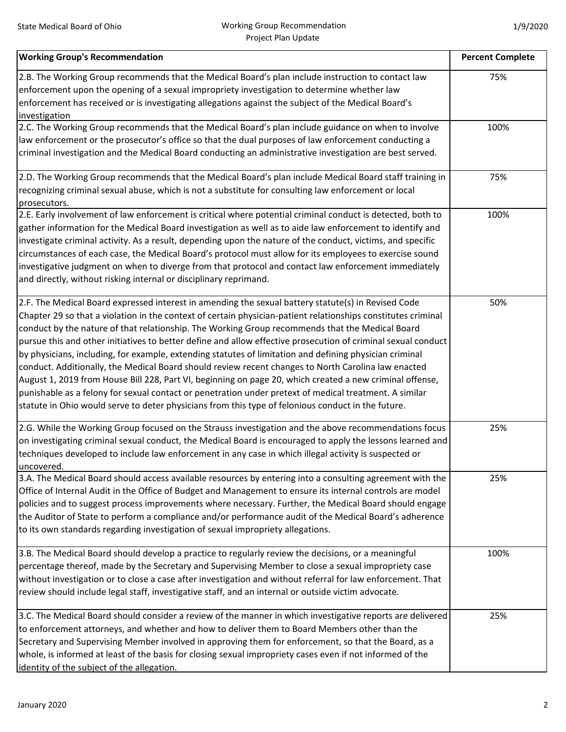| <b>Working Group's Recommendation</b>                                                                         | <b>Percent Complete</b> |
|---------------------------------------------------------------------------------------------------------------|-------------------------|
| 2.B. The Working Group recommends that the Medical Board's plan include instruction to contact law            | 75%                     |
| enforcement upon the opening of a sexual impropriety investigation to determine whether law                   |                         |
| enforcement has received or is investigating allegations against the subject of the Medical Board's           |                         |
| investigation                                                                                                 |                         |
| 2.C. The Working Group recommends that the Medical Board's plan include guidance on when to involve           | 100%                    |
| law enforcement or the prosecutor's office so that the dual purposes of law enforcement conducting a          |                         |
| criminal investigation and the Medical Board conducting an administrative investigation are best served.      |                         |
| 2.D. The Working Group recommends that the Medical Board's plan include Medical Board staff training in       | 75%                     |
| recognizing criminal sexual abuse, which is not a substitute for consulting law enforcement or local          |                         |
| prosecutors.                                                                                                  |                         |
| 2.E. Early involvement of law enforcement is critical where potential criminal conduct is detected, both to   | 100%                    |
| gather information for the Medical Board investigation as well as to aide law enforcement to identify and     |                         |
| investigate criminal activity. As a result, depending upon the nature of the conduct, victims, and specific   |                         |
| circumstances of each case, the Medical Board's protocol must allow for its employees to exercise sound       |                         |
| investigative judgment on when to diverge from that protocol and contact law enforcement immediately          |                         |
| and directly, without risking internal or disciplinary reprimand.                                             |                         |
| 2.F. The Medical Board expressed interest in amending the sexual battery statute(s) in Revised Code           | 50%                     |
| Chapter 29 so that a violation in the context of certain physician-patient relationships constitutes criminal |                         |
| conduct by the nature of that relationship. The Working Group recommends that the Medical Board               |                         |
| pursue this and other initiatives to better define and allow effective prosecution of criminal sexual conduct |                         |
| by physicians, including, for example, extending statutes of limitation and defining physician criminal       |                         |
| conduct. Additionally, the Medical Board should review recent changes to North Carolina law enacted           |                         |
|                                                                                                               |                         |
| August 1, 2019 from House Bill 228, Part VI, beginning on page 20, which created a new criminal offense,      |                         |
| punishable as a felony for sexual contact or penetration under pretext of medical treatment. A similar        |                         |
| statute in Ohio would serve to deter physicians from this type of felonious conduct in the future.            |                         |
| 2.G. While the Working Group focused on the Strauss investigation and the above recommendations focus         | 25%                     |
| on investigating criminal sexual conduct, the Medical Board is encouraged to apply the lessons learned and    |                         |
| techniques developed to include law enforcement in any case in which illegal activity is suspected or         |                         |
| uncovered.                                                                                                    |                         |
| 3.A. The Medical Board should access available resources by entering into a consulting agreement with the     | 25%                     |
| Office of Internal Audit in the Office of Budget and Management to ensure its internal controls are model     |                         |
| policies and to suggest process improvements where necessary. Further, the Medical Board should engage        |                         |
| the Auditor of State to perform a compliance and/or performance audit of the Medical Board's adherence        |                         |
| to its own standards regarding investigation of sexual impropriety allegations.                               |                         |
| 3.B. The Medical Board should develop a practice to regularly review the decisions, or a meaningful           | 100%                    |
| percentage thereof, made by the Secretary and Supervising Member to close a sexual impropriety case           |                         |
| without investigation or to close a case after investigation and without referral for law enforcement. That   |                         |
| review should include legal staff, investigative staff, and an internal or outside victim advocate.           |                         |
| 3.C. The Medical Board should consider a review of the manner in which investigative reports are delivered    | 25%                     |
| to enforcement attorneys, and whether and how to deliver them to Board Members other than the                 |                         |
| Secretary and Supervising Member involved in approving them for enforcement, so that the Board, as a          |                         |
| whole, is informed at least of the basis for closing sexual impropriety cases even if not informed of the     |                         |
| identity of the subject of the allegation.                                                                    |                         |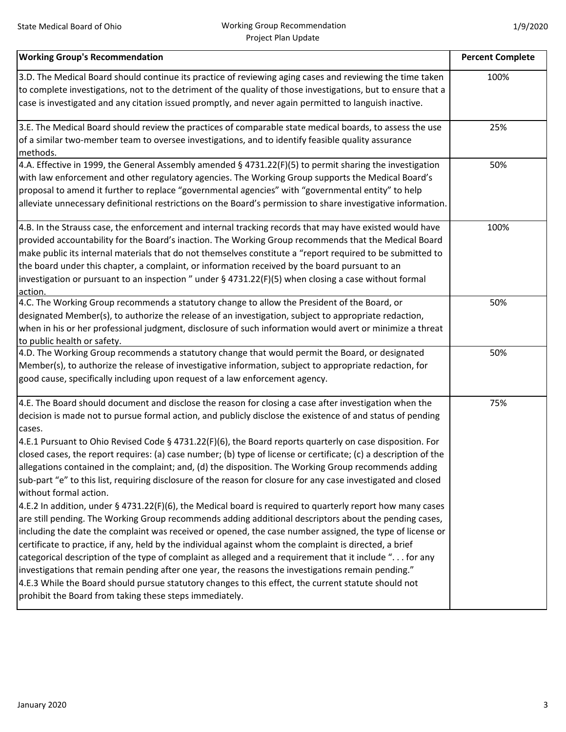| <b>Working Group's Recommendation</b>                                                                                                                                                                                                                                                                                                                                                                                                                                                                                                                                                                                                                                                                                                                                                                                                                                                                                                                                                                                                                                                                                                                                                                                                                                                                                                                                                                                                                                                                                                                    | <b>Percent Complete</b> |
|----------------------------------------------------------------------------------------------------------------------------------------------------------------------------------------------------------------------------------------------------------------------------------------------------------------------------------------------------------------------------------------------------------------------------------------------------------------------------------------------------------------------------------------------------------------------------------------------------------------------------------------------------------------------------------------------------------------------------------------------------------------------------------------------------------------------------------------------------------------------------------------------------------------------------------------------------------------------------------------------------------------------------------------------------------------------------------------------------------------------------------------------------------------------------------------------------------------------------------------------------------------------------------------------------------------------------------------------------------------------------------------------------------------------------------------------------------------------------------------------------------------------------------------------------------|-------------------------|
| 3.D. The Medical Board should continue its practice of reviewing aging cases and reviewing the time taken<br>to complete investigations, not to the detriment of the quality of those investigations, but to ensure that a<br>case is investigated and any citation issued promptly, and never again permitted to languish inactive.                                                                                                                                                                                                                                                                                                                                                                                                                                                                                                                                                                                                                                                                                                                                                                                                                                                                                                                                                                                                                                                                                                                                                                                                                     | 100%                    |
| 3.E. The Medical Board should review the practices of comparable state medical boards, to assess the use<br>of a similar two-member team to oversee investigations, and to identify feasible quality assurance<br>methods.                                                                                                                                                                                                                                                                                                                                                                                                                                                                                                                                                                                                                                                                                                                                                                                                                                                                                                                                                                                                                                                                                                                                                                                                                                                                                                                               | 25%                     |
| 4.A. Effective in 1999, the General Assembly amended § 4731.22(F)(5) to permit sharing the investigation<br>with law enforcement and other regulatory agencies. The Working Group supports the Medical Board's<br>proposal to amend it further to replace "governmental agencies" with "governmental entity" to help<br>alleviate unnecessary definitional restrictions on the Board's permission to share investigative information.                                                                                                                                                                                                                                                                                                                                                                                                                                                                                                                                                                                                                                                                                                                                                                                                                                                                                                                                                                                                                                                                                                                    | 50%                     |
| 4.B. In the Strauss case, the enforcement and internal tracking records that may have existed would have<br>provided accountability for the Board's inaction. The Working Group recommends that the Medical Board<br>make public its internal materials that do not themselves constitute a "report required to be submitted to<br>the board under this chapter, a complaint, or information received by the board pursuant to an<br>investigation or pursuant to an inspection " under $\S$ 4731.22(F)(5) when closing a case without formal<br>action.                                                                                                                                                                                                                                                                                                                                                                                                                                                                                                                                                                                                                                                                                                                                                                                                                                                                                                                                                                                                 | 100%                    |
| 4.C. The Working Group recommends a statutory change to allow the President of the Board, or<br>designated Member(s), to authorize the release of an investigation, subject to appropriate redaction,<br>when in his or her professional judgment, disclosure of such information would avert or minimize a threat<br>to public health or safety.                                                                                                                                                                                                                                                                                                                                                                                                                                                                                                                                                                                                                                                                                                                                                                                                                                                                                                                                                                                                                                                                                                                                                                                                        | 50%                     |
| 4.D. The Working Group recommends a statutory change that would permit the Board, or designated<br>Member(s), to authorize the release of investigative information, subject to appropriate redaction, for<br>good cause, specifically including upon request of a law enforcement agency.                                                                                                                                                                                                                                                                                                                                                                                                                                                                                                                                                                                                                                                                                                                                                                                                                                                                                                                                                                                                                                                                                                                                                                                                                                                               | 50%                     |
| 4.E. The Board should document and disclose the reason for closing a case after investigation when the<br>decision is made not to pursue formal action, and publicly disclose the existence of and status of pending<br>cases.<br>4.E.1 Pursuant to Ohio Revised Code § 4731.22(F)(6), the Board reports quarterly on case disposition. For<br>closed cases, the report requires: (a) case number; (b) type of license or certificate; (c) a description of the<br>allegations contained in the complaint; and, (d) the disposition. The Working Group recommends adding<br>sub-part "e" to this list, requiring disclosure of the reason for closure for any case investigated and closed<br>without formal action.<br>4.E.2 In addition, under § 4731.22(F)(6), the Medical board is required to quarterly report how many cases<br>are still pending. The Working Group recommends adding additional descriptors about the pending cases,<br>including the date the complaint was received or opened, the case number assigned, the type of license or<br>certificate to practice, if any, held by the individual against whom the complaint is directed, a brief<br>categorical description of the type of complaint as alleged and a requirement that it include " for any<br>investigations that remain pending after one year, the reasons the investigations remain pending."<br>4.E.3 While the Board should pursue statutory changes to this effect, the current statute should not<br>prohibit the Board from taking these steps immediately. | 75%                     |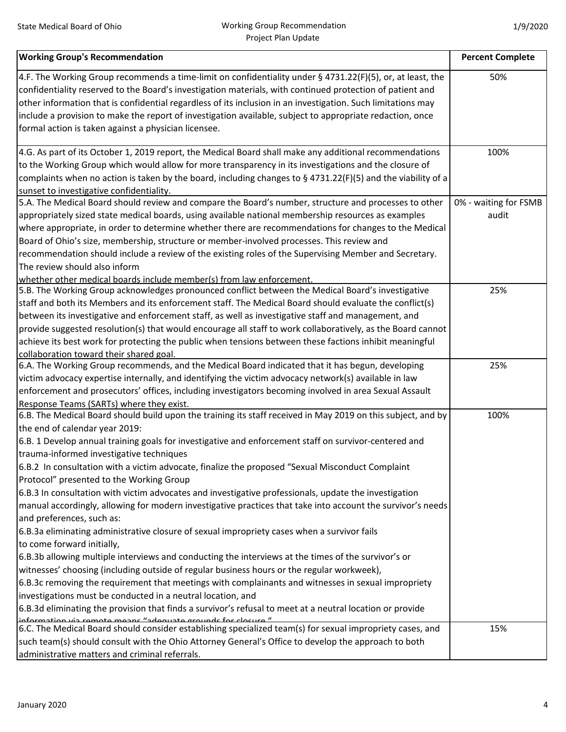| 4.F. The Working Group recommends a time-limit on confidentiality under § 4731.22(F)(5), or, at least, the<br>50%<br>confidentiality reserved to the Board's investigation materials, with continued protection of patient and<br>other information that is confidential regardless of its inclusion in an investigation. Such limitations may<br>include a provision to make the report of investigation available, subject to appropriate redaction, once<br>formal action is taken against a physician licensee.<br>4.G. As part of its October 1, 2019 report, the Medical Board shall make any additional recommendations<br>100%<br>to the Working Group which would allow for more transparency in its investigations and the closure of<br>complaints when no action is taken by the board, including changes to § 4731.22(F)(5) and the viability of a<br>sunset to investigative confidentiality.<br>5.A. The Medical Board should review and compare the Board's number, structure and processes to other<br>0% - waiting for FSMB |
|-----------------------------------------------------------------------------------------------------------------------------------------------------------------------------------------------------------------------------------------------------------------------------------------------------------------------------------------------------------------------------------------------------------------------------------------------------------------------------------------------------------------------------------------------------------------------------------------------------------------------------------------------------------------------------------------------------------------------------------------------------------------------------------------------------------------------------------------------------------------------------------------------------------------------------------------------------------------------------------------------------------------------------------------------|
|                                                                                                                                                                                                                                                                                                                                                                                                                                                                                                                                                                                                                                                                                                                                                                                                                                                                                                                                                                                                                                               |
|                                                                                                                                                                                                                                                                                                                                                                                                                                                                                                                                                                                                                                                                                                                                                                                                                                                                                                                                                                                                                                               |
|                                                                                                                                                                                                                                                                                                                                                                                                                                                                                                                                                                                                                                                                                                                                                                                                                                                                                                                                                                                                                                               |
|                                                                                                                                                                                                                                                                                                                                                                                                                                                                                                                                                                                                                                                                                                                                                                                                                                                                                                                                                                                                                                               |
|                                                                                                                                                                                                                                                                                                                                                                                                                                                                                                                                                                                                                                                                                                                                                                                                                                                                                                                                                                                                                                               |
|                                                                                                                                                                                                                                                                                                                                                                                                                                                                                                                                                                                                                                                                                                                                                                                                                                                                                                                                                                                                                                               |
|                                                                                                                                                                                                                                                                                                                                                                                                                                                                                                                                                                                                                                                                                                                                                                                                                                                                                                                                                                                                                                               |
|                                                                                                                                                                                                                                                                                                                                                                                                                                                                                                                                                                                                                                                                                                                                                                                                                                                                                                                                                                                                                                               |
|                                                                                                                                                                                                                                                                                                                                                                                                                                                                                                                                                                                                                                                                                                                                                                                                                                                                                                                                                                                                                                               |
|                                                                                                                                                                                                                                                                                                                                                                                                                                                                                                                                                                                                                                                                                                                                                                                                                                                                                                                                                                                                                                               |
|                                                                                                                                                                                                                                                                                                                                                                                                                                                                                                                                                                                                                                                                                                                                                                                                                                                                                                                                                                                                                                               |
| appropriately sized state medical boards, using available national membership resources as examples<br>audit                                                                                                                                                                                                                                                                                                                                                                                                                                                                                                                                                                                                                                                                                                                                                                                                                                                                                                                                  |
| where appropriate, in order to determine whether there are recommendations for changes to the Medical                                                                                                                                                                                                                                                                                                                                                                                                                                                                                                                                                                                                                                                                                                                                                                                                                                                                                                                                         |
| Board of Ohio's size, membership, structure or member-involved processes. This review and                                                                                                                                                                                                                                                                                                                                                                                                                                                                                                                                                                                                                                                                                                                                                                                                                                                                                                                                                     |
| recommendation should include a review of the existing roles of the Supervising Member and Secretary.                                                                                                                                                                                                                                                                                                                                                                                                                                                                                                                                                                                                                                                                                                                                                                                                                                                                                                                                         |
| The review should also inform                                                                                                                                                                                                                                                                                                                                                                                                                                                                                                                                                                                                                                                                                                                                                                                                                                                                                                                                                                                                                 |
| whether other medical boards include member(s) from law enforcement.                                                                                                                                                                                                                                                                                                                                                                                                                                                                                                                                                                                                                                                                                                                                                                                                                                                                                                                                                                          |
| 5.B. The Working Group acknowledges pronounced conflict between the Medical Board's investigative<br>25%                                                                                                                                                                                                                                                                                                                                                                                                                                                                                                                                                                                                                                                                                                                                                                                                                                                                                                                                      |
| staff and both its Members and its enforcement staff. The Medical Board should evaluate the conflict(s)                                                                                                                                                                                                                                                                                                                                                                                                                                                                                                                                                                                                                                                                                                                                                                                                                                                                                                                                       |
| between its investigative and enforcement staff, as well as investigative staff and management, and                                                                                                                                                                                                                                                                                                                                                                                                                                                                                                                                                                                                                                                                                                                                                                                                                                                                                                                                           |
| provide suggested resolution(s) that would encourage all staff to work collaboratively, as the Board cannot                                                                                                                                                                                                                                                                                                                                                                                                                                                                                                                                                                                                                                                                                                                                                                                                                                                                                                                                   |
| achieve its best work for protecting the public when tensions between these factions inhibit meaningful                                                                                                                                                                                                                                                                                                                                                                                                                                                                                                                                                                                                                                                                                                                                                                                                                                                                                                                                       |
| collaboration toward their shared goal                                                                                                                                                                                                                                                                                                                                                                                                                                                                                                                                                                                                                                                                                                                                                                                                                                                                                                                                                                                                        |
| 6.A. The Working Group recommends, and the Medical Board indicated that it has begun, developing<br>25%                                                                                                                                                                                                                                                                                                                                                                                                                                                                                                                                                                                                                                                                                                                                                                                                                                                                                                                                       |
| victim advocacy expertise internally, and identifying the victim advocacy network(s) available in law                                                                                                                                                                                                                                                                                                                                                                                                                                                                                                                                                                                                                                                                                                                                                                                                                                                                                                                                         |
| enforcement and prosecutors' offices, including investigators becoming involved in area Sexual Assault                                                                                                                                                                                                                                                                                                                                                                                                                                                                                                                                                                                                                                                                                                                                                                                                                                                                                                                                        |
| Response Teams (SARTs) where they exist.                                                                                                                                                                                                                                                                                                                                                                                                                                                                                                                                                                                                                                                                                                                                                                                                                                                                                                                                                                                                      |
| 6.B. The Medical Board should build upon the training its staff received in May 2019 on this subject, and by<br>100%                                                                                                                                                                                                                                                                                                                                                                                                                                                                                                                                                                                                                                                                                                                                                                                                                                                                                                                          |
| the end of calendar year 2019:                                                                                                                                                                                                                                                                                                                                                                                                                                                                                                                                                                                                                                                                                                                                                                                                                                                                                                                                                                                                                |
| 6.B. 1 Develop annual training goals for investigative and enforcement staff on survivor-centered and                                                                                                                                                                                                                                                                                                                                                                                                                                                                                                                                                                                                                                                                                                                                                                                                                                                                                                                                         |
| trauma-informed investigative techniques                                                                                                                                                                                                                                                                                                                                                                                                                                                                                                                                                                                                                                                                                                                                                                                                                                                                                                                                                                                                      |
| 6.B.2 In consultation with a victim advocate, finalize the proposed "Sexual Misconduct Complaint                                                                                                                                                                                                                                                                                                                                                                                                                                                                                                                                                                                                                                                                                                                                                                                                                                                                                                                                              |
| Protocol" presented to the Working Group                                                                                                                                                                                                                                                                                                                                                                                                                                                                                                                                                                                                                                                                                                                                                                                                                                                                                                                                                                                                      |
| 6.B.3 In consultation with victim advocates and investigative professionals, update the investigation                                                                                                                                                                                                                                                                                                                                                                                                                                                                                                                                                                                                                                                                                                                                                                                                                                                                                                                                         |
| manual accordingly, allowing for modern investigative practices that take into account the survivor's needs                                                                                                                                                                                                                                                                                                                                                                                                                                                                                                                                                                                                                                                                                                                                                                                                                                                                                                                                   |
| and preferences, such as:                                                                                                                                                                                                                                                                                                                                                                                                                                                                                                                                                                                                                                                                                                                                                                                                                                                                                                                                                                                                                     |
| 6.B.3a eliminating administrative closure of sexual impropriety cases when a survivor fails                                                                                                                                                                                                                                                                                                                                                                                                                                                                                                                                                                                                                                                                                                                                                                                                                                                                                                                                                   |
| to come forward initially,                                                                                                                                                                                                                                                                                                                                                                                                                                                                                                                                                                                                                                                                                                                                                                                                                                                                                                                                                                                                                    |
| 6.B.3b allowing multiple interviews and conducting the interviews at the times of the survivor's or                                                                                                                                                                                                                                                                                                                                                                                                                                                                                                                                                                                                                                                                                                                                                                                                                                                                                                                                           |
| witnesses' choosing (including outside of regular business hours or the regular workweek),                                                                                                                                                                                                                                                                                                                                                                                                                                                                                                                                                                                                                                                                                                                                                                                                                                                                                                                                                    |
| 6.B.3c removing the requirement that meetings with complainants and witnesses in sexual impropriety                                                                                                                                                                                                                                                                                                                                                                                                                                                                                                                                                                                                                                                                                                                                                                                                                                                                                                                                           |
| investigations must be conducted in a neutral location, and                                                                                                                                                                                                                                                                                                                                                                                                                                                                                                                                                                                                                                                                                                                                                                                                                                                                                                                                                                                   |
| 6.B.3d eliminating the provision that finds a survivor's refusal to meet at a neutral location or provide                                                                                                                                                                                                                                                                                                                                                                                                                                                                                                                                                                                                                                                                                                                                                                                                                                                                                                                                     |
| information via romoto moane "adoquato grounde for closuro"<br>6.C. The Medical Board should consider establishing specialized team(s) for sexual impropriety cases, and<br>15%                                                                                                                                                                                                                                                                                                                                                                                                                                                                                                                                                                                                                                                                                                                                                                                                                                                               |
| such team(s) should consult with the Ohio Attorney General's Office to develop the approach to both                                                                                                                                                                                                                                                                                                                                                                                                                                                                                                                                                                                                                                                                                                                                                                                                                                                                                                                                           |
| administrative matters and criminal referrals.                                                                                                                                                                                                                                                                                                                                                                                                                                                                                                                                                                                                                                                                                                                                                                                                                                                                                                                                                                                                |